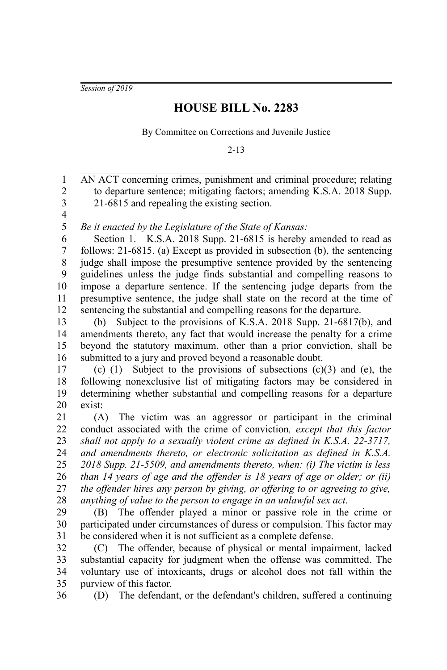*Session of 2019*

## **HOUSE BILL No. 2283**

By Committee on Corrections and Juvenile Justice

2-13

AN ACT concerning crimes, punishment and criminal procedure; relating to departure sentence; mitigating factors; amending K.S.A. 2018 Supp. 21-6815 and repealing the existing section. 2 3

4 5

1

*Be it enacted by the Legislature of the State of Kansas:*

Section 1. K.S.A. 2018 Supp. 21-6815 is hereby amended to read as follows: 21-6815. (a) Except as provided in subsection (b), the sentencing judge shall impose the presumptive sentence provided by the sentencing guidelines unless the judge finds substantial and compelling reasons to impose a departure sentence. If the sentencing judge departs from the presumptive sentence, the judge shall state on the record at the time of sentencing the substantial and compelling reasons for the departure. 6 7 8 9 10 11 12

(b) Subject to the provisions of K.S.A. 2018 Supp. 21-6817(b), and amendments thereto, any fact that would increase the penalty for a crime beyond the statutory maximum, other than a prior conviction, shall be submitted to a jury and proved beyond a reasonable doubt. 13 14 15 16

(c) (1) Subject to the provisions of subsections  $(c)(3)$  and  $(e)$ , the following nonexclusive list of mitigating factors may be considered in determining whether substantial and compelling reasons for a departure exist: 17 18 19 20

(A) The victim was an aggressor or participant in the criminal conduct associated with the crime of conviction*, except that this factor shall not apply to a sexually violent crime as defined in K.S.A. 22-3717, and amendments thereto, or electronic solicitation as defined in K.S.A. 2018 Supp. 21-5509, and amendments thereto, when: (i) The victim is less than 14 years of age and the offender is 18 years of age or older; or (ii) the offender hires any person by giving, or offering to or agreeing to give, anything of value to the person to engage in an unlawful sex act*. 21 22 23 24 25 26 27 28

(B) The offender played a minor or passive role in the crime or participated under circumstances of duress or compulsion. This factor may be considered when it is not sufficient as a complete defense. 29 30 31

(C) The offender, because of physical or mental impairment, lacked substantial capacity for judgment when the offense was committed. The voluntary use of intoxicants, drugs or alcohol does not fall within the purview of this factor. 32 33 34 35

(D) The defendant, or the defendant's children, suffered a continuing 36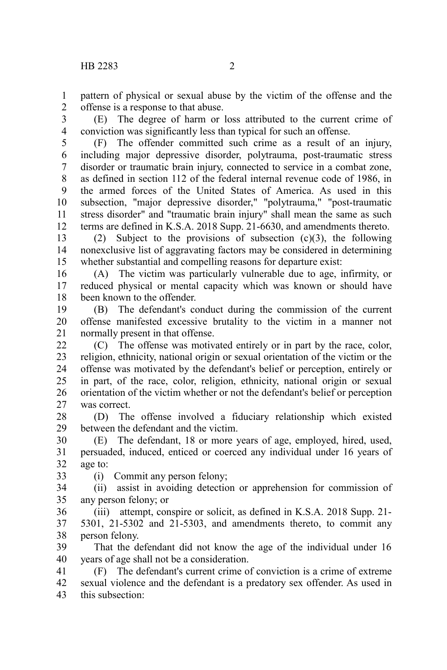pattern of physical or sexual abuse by the victim of the offense and the offense is a response to that abuse. 1 2

(E) The degree of harm or loss attributed to the current crime of conviction was significantly less than typical for such an offense. 3 4

(F) The offender committed such crime as a result of an injury, including major depressive disorder, polytrauma, post-traumatic stress disorder or traumatic brain injury, connected to service in a combat zone, as defined in section 112 of the federal internal revenue code of 1986, in the armed forces of the United States of America. As used in this subsection, "major depressive disorder," "polytrauma," "post-traumatic stress disorder" and "traumatic brain injury" shall mean the same as such terms are defined in K.S.A. 2018 Supp. 21-6630, and amendments thereto. 5 6 7 8 9 10 11 12

(2) Subject to the provisions of subsection  $(c)(3)$ , the following nonexclusive list of aggravating factors may be considered in determining whether substantial and compelling reasons for departure exist: 13 14 15

(A) The victim was particularly vulnerable due to age, infirmity, or reduced physical or mental capacity which was known or should have been known to the offender. 16 17 18

(B) The defendant's conduct during the commission of the current offense manifested excessive brutality to the victim in a manner not normally present in that offense. 19 20 21

(C) The offense was motivated entirely or in part by the race, color, religion, ethnicity, national origin or sexual orientation of the victim or the offense was motivated by the defendant's belief or perception, entirely or in part, of the race, color, religion, ethnicity, national origin or sexual orientation of the victim whether or not the defendant's belief or perception was correct. 22 23 24 25 26 27

(D) The offense involved a fiduciary relationship which existed between the defendant and the victim. 28 29

(E) The defendant, 18 or more years of age, employed, hired, used, persuaded, induced, enticed or coerced any individual under 16 years of age to: 30 31 32

33

(i) Commit any person felony;

(ii) assist in avoiding detection or apprehension for commission of any person felony; or 34 35

(iii) attempt, conspire or solicit, as defined in K.S.A. 2018 Supp. 21- 5301, 21-5302 and 21-5303, and amendments thereto, to commit any person felony. 36 37 38

That the defendant did not know the age of the individual under 16 years of age shall not be a consideration. 39 40

(F) The defendant's current crime of conviction is a crime of extreme sexual violence and the defendant is a predatory sex offender. As used in this subsection: 41 42 43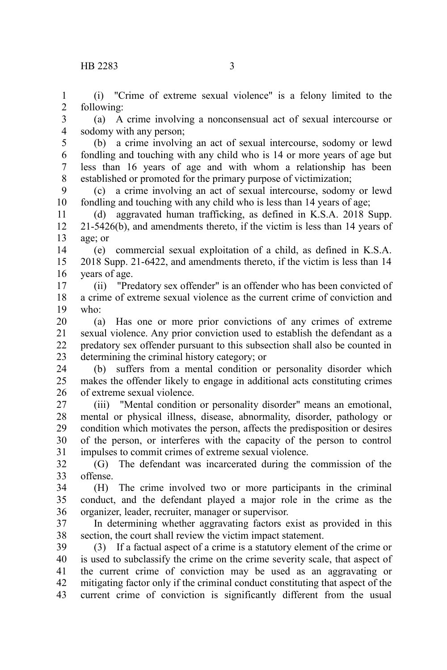(i) "Crime of extreme sexual violence" is a felony limited to the following: 1 2

(a) A crime involving a nonconsensual act of sexual intercourse or sodomy with any person; 3 4

(b) a crime involving an act of sexual intercourse, sodomy or lewd fondling and touching with any child who is 14 or more years of age but less than 16 years of age and with whom a relationship has been established or promoted for the primary purpose of victimization; 5 6 7 8

(c) a crime involving an act of sexual intercourse, sodomy or lewd fondling and touching with any child who is less than 14 years of age; 9 10

(d) aggravated human trafficking, as defined in K.S.A. 2018 Supp. 21-5426(b), and amendments thereto, if the victim is less than 14 years of age; or 11 12 13

(e) commercial sexual exploitation of a child, as defined in K.S.A. 2018 Supp. 21-6422, and amendments thereto, if the victim is less than 14 years of age. 14 15 16

(ii) "Predatory sex offender" is an offender who has been convicted of a crime of extreme sexual violence as the current crime of conviction and who: 17 18 19

(a) Has one or more prior convictions of any crimes of extreme sexual violence. Any prior conviction used to establish the defendant as a predatory sex offender pursuant to this subsection shall also be counted in determining the criminal history category; or 20 21 22 23

(b) suffers from a mental condition or personality disorder which makes the offender likely to engage in additional acts constituting crimes of extreme sexual violence. 24 25 26

(iii) "Mental condition or personality disorder" means an emotional, mental or physical illness, disease, abnormality, disorder, pathology or condition which motivates the person, affects the predisposition or desires of the person, or interferes with the capacity of the person to control impulses to commit crimes of extreme sexual violence. 27 28 29 30 31

(G) The defendant was incarcerated during the commission of the offense. 32 33

(H) The crime involved two or more participants in the criminal conduct, and the defendant played a major role in the crime as the organizer, leader, recruiter, manager or supervisor. 34 35 36

In determining whether aggravating factors exist as provided in this section, the court shall review the victim impact statement. 37 38

(3) If a factual aspect of a crime is a statutory element of the crime or is used to subclassify the crime on the crime severity scale, that aspect of the current crime of conviction may be used as an aggravating or mitigating factor only if the criminal conduct constituting that aspect of the current crime of conviction is significantly different from the usual 39 40 41 42 43